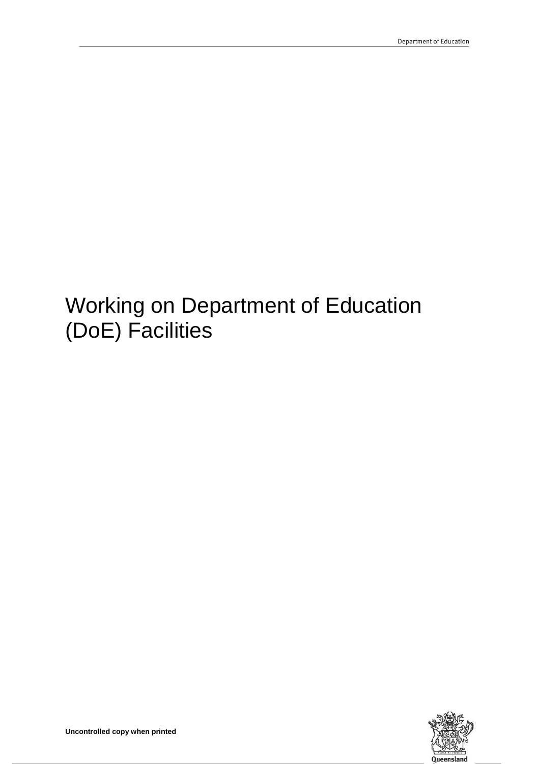# Working on Department of Education (DoE) Facilities

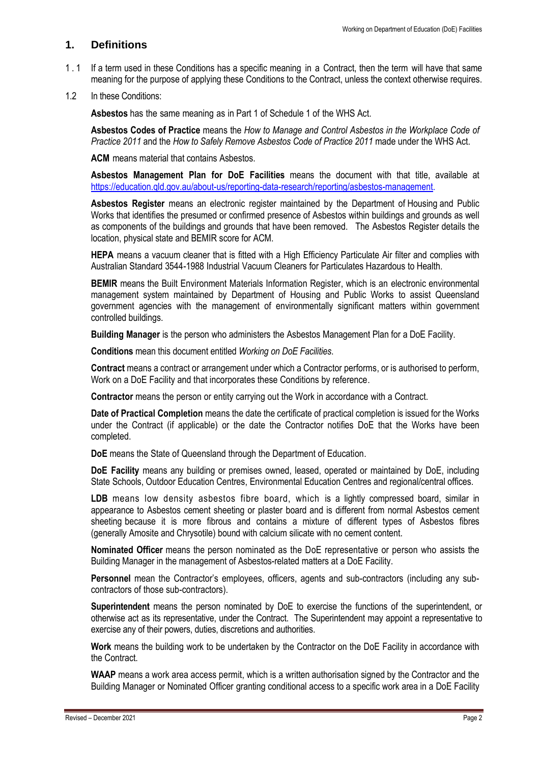# **1. Definitions**

- 1.1 If a term used in these Conditions has a specific meaning in a Contract, then the term will have that same meaning for the purpose of applying these Conditions to the Contract, unless the context otherwise requires.
- 1.2 In these Conditions:

**Asbestos** has the same meaning as in Part 1 of Schedule 1 of the WHS Act.

**Asbestos Codes of Practice** means the *How to Manage and Control Asbestos in the Workplace Code of Practice 2011* and the *How to Safely Remove Asbestos Code of Practice 2011* made under the WHS Act.

**ACM** means material that contains Asbestos.

**Asbestos Management Plan for DoE Facilities** means the document with that title, available at [https://education.qld.gov.au/about-us/reporting-data-research/reporting/asbestos-management.](https://education.qld.gov.au/about-us/reporting-data-research/reporting/asbestos-management)

**Asbestos Register** means an electronic register maintained by the Department of Housing and Public Works that identifies the presumed or confirmed presence of Asbestos within buildings and grounds as well as components of the buildings and grounds that have been removed. The Asbestos Register details the location, physical state and BEMIR score for ACM.

**HEPA** means a vacuum cleaner that is fitted with a High Efficiency Particulate Air filter and complies with Australian Standard 3544-1988 Industrial Vacuum Cleaners for Particulates Hazardous to Health.

**BEMIR** means the Built Environment Materials Information Register, which is an electronic environmental management system maintained by Department of Housing and Public Works to assist Queensland government agencies with the management of environmentally significant matters within government controlled buildings.

**Building Manager** is the person who administers the Asbestos Management Plan for a DoE Facility.

**Conditions** mean this document entitled *Working on DoE Facilities*.

**Contract** means a contract or arrangement under which a Contractor performs, or is authorised to perform, Work on a DoE Facility and that incorporates these Conditions by reference.

**Contractor** means the person or entity carrying out the Work in accordance with a Contract.

**Date of Practical Completion** means the date the certificate of practical completion is issued for the Works under the Contract (if applicable) or the date the Contractor notifies DoE that the Works have been completed.

**DoE** means the State of Queensland through the Department of Education.

**DoE Facility** means any building or premises owned, leased, operated or maintained by DoE, including State Schools, Outdoor Education Centres, Environmental Education Centres and regional/central offices.

LDB means low density asbestos fibre board, which is a lightly compressed board, similar in appearance to Asbestos cement sheeting or plaster board and is different from normal Asbestos cement sheeting because it is more fibrous and contains a mixture of different types of Asbestos fibres (generally Amosite and Chrysotile) bound with calcium silicate with no cement content.

**Nominated Officer** means the person nominated as the DoE representative or person who assists the Building Manager in the management of Asbestos-related matters at a DoE Facility.

**Personnel** mean the Contractor's employees, officers, agents and sub-contractors (including any subcontractors of those sub-contractors).

**Superintendent** means the person nominated by DoE to exercise the functions of the superintendent, or otherwise act as its representative, under the Contract. The Superintendent may appoint a representative to exercise any of their powers, duties, discretions and authorities.

**Work** means the building work to be undertaken by the Contractor on the DoE Facility in accordance with the Contract.

**WAAP** means a work area access permit, which is a written authorisation signed by the Contractor and the Building Manager or Nominated Officer granting conditional access to a specific work area in a DoE Facility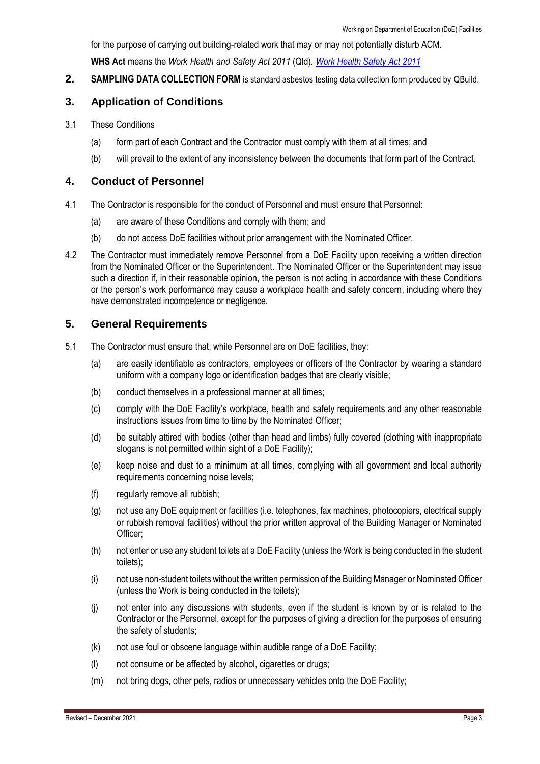for the purpose of carrying out building-related work that may or may not potentially disturb ACM. **WHS Act** means the *Work Health and Safety Act 2011* (Qld)*. [Work Health](https://www.legislation.qld.gov.au/view/html/inforce/current/act-2011-018?query=((Repealed%3DN+AND+PrintType%3D%22act.reprint%22+AND+PitValid%3D%40pointInTime(20200602000000))+OR+(Repealed%3DN+AND+PrintType%3D%22reprint%22+AND+PitValid%3D%40pointInTime(20200602000000)))+AND+Content%3D(%22work%22+AND+%22health%22+AND+%22and%22+AND+%22safety%22+AND+%22act%22)&q-collection%5B%5D=inforceActs&q-collection%5B%5D=inforceSLs&q-documentTitle=&q-prefixCcl=&q-searchfor=work+health+and+safety+act&q-searchin=Content&q-searchusing=allwords&q-year=&q-no=&q-point-in-time=02%2F06%2F2020&q-searchform=basic) Safety Act 2011*

**2. SAMPLING DATA COLLECTION FORM** is standard asbestos testing data collection form produced by QBuild.

# **3. Application of Conditions**

- 3.1 These Conditions
	- (a) form part of each Contract and the Contractor must comply with them at all times; and
	- (b) will prevail to the extent of any inconsistency between the documents that form part of the Contract.

### **4. Conduct of Personnel**

- 4.1 The Contractor is responsible for the conduct of Personnel and must ensure that Personnel:
	- (a) are aware of these Conditions and comply with them; and
	- (b) do not access DoE facilities without prior arrangement with the Nominated Officer.
- 4.2 The Contractor must immediately remove Personnel from a DoE Facility upon receiving a written direction from the Nominated Officer or the Superintendent. The Nominated Officer or the Superintendent may issue such a direction if, in their reasonable opinion, the person is not acting in accordance with these Conditions or the person's work performance may cause a workplace health and safety concern, including where they have demonstrated incompetence or negligence.

# **5. General Requirements**

- 5.1 The Contractor must ensure that, while Personnel are on DoE facilities, they:
	- (a) are easily identifiable as contractors, employees or officers of the Contractor by wearing a standard uniform with a company logo or identification badges that are clearly visible;
	- (b) conduct themselves in a professional manner at all times;
	- (c) comply with the DoE Facility's workplace, health and safety requirements and any other reasonable instructions issues from time to time by the Nominated Officer;
	- (d) be suitably attired with bodies (other than head and limbs) fully covered (clothing with inappropriate slogans is not permitted within sight of a DoE Facility);
	- (e) keep noise and dust to a minimum at all times, complying with all government and local authority requirements concerning noise levels;
	- (f) regularly remove all rubbish;
	- (g) not use any DoE equipment or facilities (i.e. telephones, fax machines, photocopiers, electrical supply or rubbish removal facilities) without the prior written approval of the Building Manager or Nominated Officer;
	- (h) not enter or use any student toilets at a DoE Facility (unless the Work is being conducted in the student toilets);
	- (i) not use non-student toilets without the written permission of the Building Manager or Nominated Officer (unless the Work is being conducted in the toilets);
	- (j) not enter into any discussions with students, even if the student is known by or is related to the Contractor or the Personnel, except for the purposes of giving a direction for the purposes of ensuring the safety of students;
	- (k) not use foul or obscene language within audible range of a DoE Facility;
	- (l) not consume or be affected by alcohol, cigarettes or drugs;
	- (m) not bring dogs, other pets, radios or unnecessary vehicles onto the DoE Facility;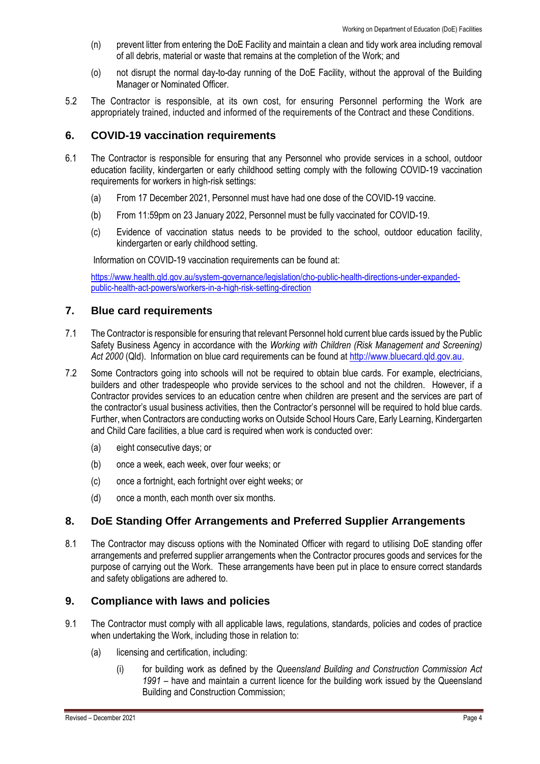- (n) prevent litter from entering the DoE Facility and maintain a clean and tidy work area including removal of all debris, material or waste that remains at the completion of the Work; and
- (o) not disrupt the normal day-to-day running of the DoE Facility, without the approval of the Building Manager or Nominated Officer.
- 5.2 The Contractor is responsible, at its own cost, for ensuring Personnel performing the Work are appropriately trained, inducted and informed of the requirements of the Contract and these Conditions.

#### **6. COVID-19 vaccination requirements**

- 6.1 The Contractor is responsible for ensuring that any Personnel who provide services in a school, outdoor education facility, kindergarten or early childhood setting comply with the following COVID-19 vaccination requirements for workers in high-risk settings:
	- (a) From 17 December 2021, Personnel must have had one dose of the COVID-19 vaccine.
	- (b) From 11:59pm on 23 January 2022, Personnel must be fully vaccinated for COVID-19.
	- (c) Evidence of vaccination status needs to be provided to the school, outdoor education facility, kindergarten or early childhood setting.

Information on COVID-19 vaccination requirements can be found at:

[https://www.health.qld.gov.au/system-governance/legislation/cho-public-health-directions-under-expanded](https://www.health.qld.gov.au/system-governance/legislation/cho-public-health-directions-under-expanded-public-health-act-powers/workers-in-a-high-risk-setting-direction)[public-health-act-powers/workers-in-a-high-risk-setting-direction](https://www.health.qld.gov.au/system-governance/legislation/cho-public-health-directions-under-expanded-public-health-act-powers/workers-in-a-high-risk-setting-direction)

# **7. Blue card requirements**

- 7.1 The Contractor is responsible for ensuring that relevant Personnel hold current blue cards issued by the Public Safety Business Agency in accordance with the *Working with Children (Risk Management and Screening) Act 2000* (Qld). Information on blue card requirements can be found a[t http://www.bluecard.qld.gov.au.](http://www.bluecard.qld.gov.au/)
- 7.2 Some Contractors going into schools will not be required to obtain blue cards. For example, electricians, builders and other tradespeople who provide services to the school and not the children. However, if a Contractor provides services to an education centre when children are present and the services are part of the contractor's usual business activities, then the Contractor's personnel will be required to hold blue cards. Further, when Contractors are conducting works on Outside School Hours Care, Early Learning, Kindergarten and Child Care facilities, a blue card is required when work is conducted over:
	- (a) eight consecutive days; or
	- (b) once a week, each week, over four weeks; or
	- (c) once a fortnight, each fortnight over eight weeks; or
	- (d) once a month, each month over six months.

# **8. DoE Standing Offer Arrangements and Preferred Supplier Arrangements**

8.1 The Contractor may discuss options with the Nominated Officer with regard to utilising DoE standing offer arrangements and preferred supplier arrangements when the Contractor procures goods and services for the purpose of carrying out the Work. These arrangements have been put in place to ensure correct standards and safety obligations are adhered to.

# **9. Compliance with laws and policies**

- 9.1 The Contractor must comply with all applicable laws, regulations, standards, policies and codes of practice when undertaking the Work, including those in relation to:
	- (a) licensing and certification, including:
		- (i) for building work as defined by the *Queensland Building and Construction Commission Act 1991* – have and maintain a current licence for the building work issued by the Queensland Building and Construction Commission;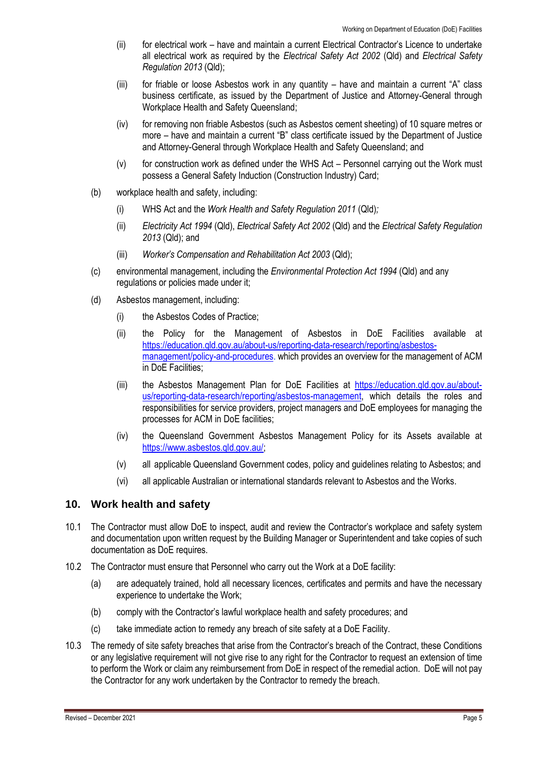- (ii) for electrical work have and maintain a current Electrical Contractor's Licence to undertake all electrical work as required by the *Electrical Safety Act 2002* (Qld) and *Electrical Safety Regulation 2013* (Qld);
- (iii) for friable or loose Asbestos work in any quantity have and maintain a current "A" class business certificate, as issued by the Department of Justice and Attorney-General through Workplace Health and Safety Queensland;
- (iv) for removing non friable Asbestos (such as Asbestos cement sheeting) of 10 square metres or more – have and maintain a current "B" class certificate issued by the Department of Justice and Attorney-General through Workplace Health and Safety Queensland; and
- (v) for construction work as defined under the WHS Act Personnel carrying out the Work must possess a General Safety Induction (Construction Industry) Card;
- (b) workplace health and safety, including:
	- (i) WHS Act and the *Work Health and Safety Regulation 2011* (Qld)*;*
	- (ii) *Electricity Act 1994* (Qld), *Electrical Safety Act 2002* (Qld) and the *Electrical Safety Regulation 2013* (Qld); and
	- (iii) *Worker's Compensation and Rehabilitation Act 2003* (Qld);
- (c) environmental management, including the *[Environmental Protection Act 1994](https://www.legislation.qld.gov.au/LEGISLTN/CURRENT/E/EnvProtA94.pdf)* (Qld) and any regulations or policies made under it;
- (d) Asbestos management, including:
	- (i) the Asbestos Codes of Practice;
	- (ii) the Policy for the Management of Asbestos in DoE Facilities available at [https://education.qld.gov.au/about-us/reporting-data-research/reporting/asbestos](https://education.qld.gov.au/about-us/reporting-data-research/reporting/asbestos-management/policy-and-procedures)[management/policy-and-procedures.](https://education.qld.gov.au/about-us/reporting-data-research/reporting/asbestos-management/policy-and-procedures) which provides an overview for the management of ACM in DoE Facilities;
	- (iii) the Asbestos Management Plan for DoE Facilities at [https://education.qld.gov.au/about](https://education.qld.gov.au/about-us/reporting-data-research/reporting/asbestos-management)[us/reporting-data-research/reporting/asbestos-management,](https://education.qld.gov.au/about-us/reporting-data-research/reporting/asbestos-management) which details the roles and responsibilities for service providers, project managers and DoE employees for managing the processes for ACM in DoE facilities;
	- (iv) the Queensland Government Asbestos Management Policy for its Assets available at [https://www.asbestos.qld.gov.au/;](https://www.asbestos.qld.gov.au/)
	- (v) all applicable Queensland Government codes, policy and guidelines relating to Asbestos; and
	- (vi) all applicable Australian or international standards relevant to Asbestos and the Works.

#### **10. Work health and safety**

- 10.1 The Contractor must allow DoE to inspect, audit and review the Contractor's workplace and safety system and documentation upon written request by the Building Manager or Superintendent and take copies of such documentation as DoE requires.
- 10.2 The Contractor must ensure that Personnel who carry out the Work at a DoE facility:
	- (a) are adequately trained, hold all necessary licences, certificates and permits and have the necessary experience to undertake the Work;
	- (b) comply with the Contractor's lawful workplace health and safety procedures; and
	- (c) take immediate action to remedy any breach of site safety at a DoE Facility.
- 10.3 The remedy of site safety breaches that arise from the Contractor's breach of the Contract, these Conditions or any legislative requirement will not give rise to any right for the Contractor to request an extension of time to perform the Work or claim any reimbursement from DoE in respect of the remedial action. DoE will not pay the Contractor for any work undertaken by the Contractor to remedy the breach.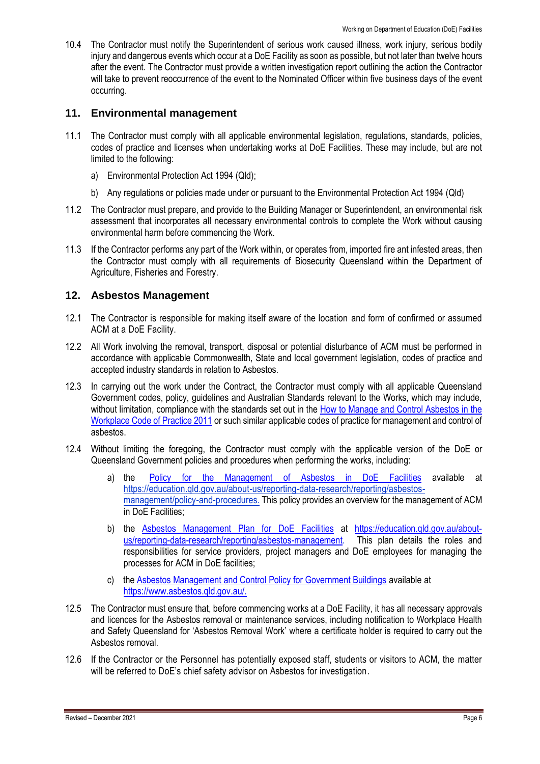10.4 The Contractor must notify the Superintendent of serious work caused illness, work injury, serious bodily injury and dangerous events which occur at a DoE Facility as soon as possible, but not later than twelve hours after the event. The Contractor must provide a written investigation report outlining the action the Contractor will take to prevent reoccurrence of the event to the Nominated Officer within five business days of the event occurring.

# **11. Environmental management**

- 11.1 The Contractor must comply with all applicable environmental legislation, regulations, standards, policies, codes of practice and licenses when undertaking works at DoE Facilities. These may include, but are not limited to the following:
	- a) Environmental Protection Act 1994 (Qld);
	- b) Any regulations or policies made under or pursuant to the Environmental Protection Act 1994 (Qld)
- 11.2 The Contractor must prepare, and provide to the Building Manager or Superintendent, an environmental risk assessment that incorporates all necessary environmental controls to complete the Work without causing environmental harm before commencing the Work.
- 11.3 If the Contractor performs any part of the Work within, or operates from, imported fire ant infested areas, then the Contractor must comply with all requirements of Biosecurity Queensland within the Department of Agriculture, Fisheries and Forestry.

# **12. Asbestos Management**

- 12.1 The Contractor is responsible for making itself aware of the location and form of confirmed or assumed ACM at a DoE Facility.
- 12.2 All Work involving the removal, transport, disposal or potential disturbance of ACM must be performed in accordance with applicable Commonwealth, State and local government legislation, codes of practice and accepted industry standards in relation to Asbestos.
- 12.3 In carrying out the work under the Contract, the Contractor must comply with all applicable Queensland Government codes, policy, guidelines and Australian Standards relevant to the Works, which may include, without limitation, compliance with the standards set out in the [How to Manage and Control Asbestos in the](https://www.asbestos.qld.gov.au/resources/codes-practice)  [Workplace Code of Practice 2011](https://www.asbestos.qld.gov.au/resources/codes-practice)</u> or such similar applicable codes of practice for management and control of asbestos.
- 12.4 Without limiting the foregoing, the Contractor must comply with the applicable version of the DoE or Queensland Government policies and procedures when performing the works, including:
	- a) the [Policy for the Management of Asbestos in DoE](https://education.qld.gov.au/about-us/reporting-data-research/reporting/asbestos-management/policy-and-procedures) Facilities available at https://education.qld.gov.au/about-us/reporting-data-research/reporting/asbestosmanagement/policy-and-procedures. This policy provides an overview for the management of ACM in DoE Facilities;
	- b) the [Asbestos Management Plan for DoE Facilities](https://education.qld.gov.au/about-us/reporting-data-research/reporting/asbestos-management) at [https://education.qld.gov.au/about](https://education.qld.gov.au/about-us/reporting-data-research/reporting/asbestos-management)[us/reporting-data-research/reporting/asbestos-management.](https://education.qld.gov.au/about-us/reporting-data-research/reporting/asbestos-management) This plan details the roles and responsibilities for service providers, project managers and DoE employees for managing the processes for ACM in DoE facilities;
	- c) the [Asbestos Management and Control Policy for Government Buildings](https://www.asbestos.qld.gov.au/) available at [https://www.asbestos.qld.gov.au/.](https://www.asbestos.qld.gov.au/)
- 12.5 The Contractor must ensure that, before commencing works at a DoE Facility, it has all necessary approvals and licences for the Asbestos removal or maintenance services, including notification to Workplace Health and Safety Queensland for 'Asbestos Removal Work' where a certificate holder is required to carry out the Asbestos removal.
- 12.6 If the Contractor or the Personnel has potentially exposed staff, students or visitors to ACM, the matter will be referred to DoE's chief safety advisor on Asbestos for investigation.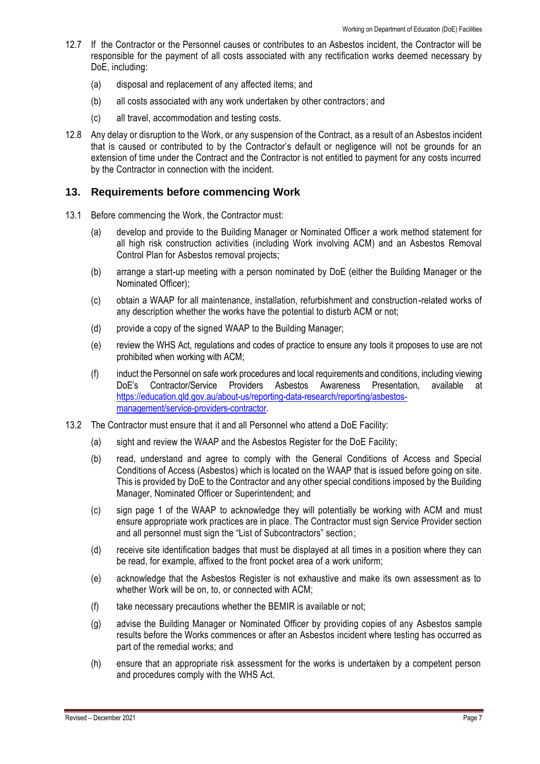- 12.7 If the Contractor or the Personnel causes or contributes to an Asbestos incident, the Contractor will be responsible for the payment of all costs associated with any rectification works deemed necessary by DoE, including:
	- (a) disposal and replacement of any affected items; and
	- (b) all costs associated with any work undertaken by other contractors; and
	- (c) all travel, accommodation and testing costs.
- 12.8 Any delay or disruption to the Work, or any suspension of the Contract, as a result of an Asbestos incident that is caused or contributed to by the Contractor's default or negligence will not be grounds for an extension of time under the Contract and the Contractor is not entitled to payment for any costs incurred by the Contractor in connection with the incident.

#### **13. Requirements before commencing Work**

- 13.1 Before commencing the Work, the Contractor must:
	- (a) develop and provide to the Building Manager or Nominated Officer a work method statement for all high risk construction activities (including Work involving ACM) and an Asbestos Removal Control Plan for Asbestos removal projects;
	- (b) arrange a start-up meeting with a person nominated by DoE (either the Building Manager or the Nominated Officer);
	- (c) obtain a WAAP for all maintenance, installation, refurbishment and construction-related works of any description whether the works have the potential to disturb ACM or not;
	- (d) provide a copy of the signed WAAP to the Building Manager;
	- (e) review the WHS Act, regulations and codes of practice to ensure any tools it proposes to use are not prohibited when working with ACM;
	- (f) induct the Personnel on safe work procedures and local requirements and conditions, including viewing DoE's Contractor/Service Providers Asbestos Awareness Presentation, available at https://education.gld.gov.au/about-us/reporting-data-research/reporting/asbestos[management/service-providers-contractor.](https://education.qld.gov.au/about-us/reporting-data-research/reporting/asbestos-management/service-providers-contractor)
- 13.2 The Contractor must ensure that it and all Personnel who attend a DoE Facility:
	- (a) sight and review the WAAP and the Asbestos Register for the DoE Facility;
	- (b) read, understand and agree to comply with the General Conditions of Access and Special Conditions of Access (Asbestos) which is located on the WAAP that is issued before going on site. This is provided by DoE to the Contractor and any other special conditions imposed by the Building Manager, Nominated Officer or Superintendent; and
	- (c) sign page 1 of the WAAP to acknowledge they will potentially be working with ACM and must ensure appropriate work practices are in place. The Contractor must sign Service Provider section and all personnel must sign the "List of Subcontractors" section;
	- (d) receive site identification badges that must be displayed at all times in a position where they can be read, for example, affixed to the front pocket area of a work uniform;
	- (e) acknowledge that the Asbestos Register is not exhaustive and make its own assessment as to whether Work will be on, to, or connected with ACM;
	- (f) take necessary precautions whether the BEMIR is available or not;
	- (g) advise the Building Manager or Nominated Officer by providing copies of any Asbestos sample results before the Works commences or after an Asbestos incident where testing has occurred as part of the remedial works; and
	- (h) ensure that an appropriate risk assessment for the works is undertaken by a competent person and procedures comply with the WHS Act.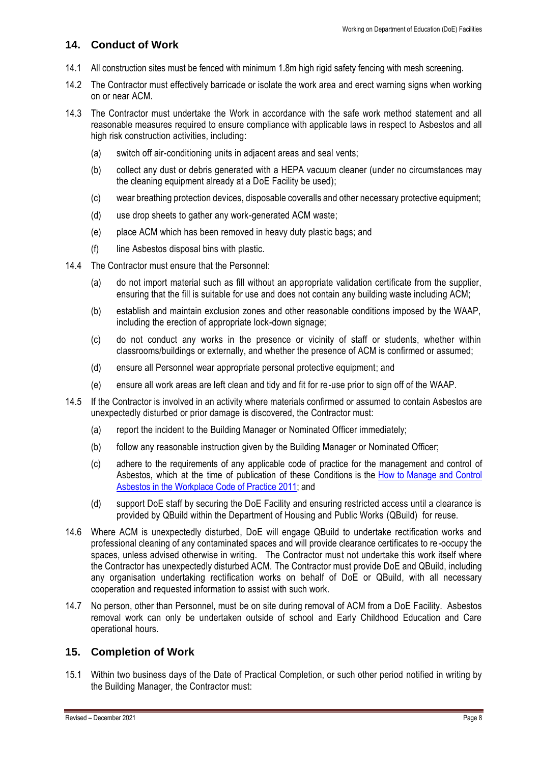# **14. Conduct of Work**

- 14.1 All construction sites must be fenced with minimum 1.8m high rigid safety fencing with mesh screening.
- 14.2 The Contractor must effectively barricade or isolate the work area and erect warning signs when working on or near ACM.
- 14.3 The Contractor must undertake the Work in accordance with the safe work method statement and all reasonable measures required to ensure compliance with applicable laws in respect to Asbestos and all high risk construction activities, including:
	- (a) switch off air-conditioning units in adjacent areas and seal vents;
	- (b) collect any dust or debris generated with a HEPA vacuum cleaner (under no circumstances may the cleaning equipment already at a DoE Facility be used);
	- (c) wear breathing protection devices, disposable coveralls and other necessary protective equipment;
	- (d) use drop sheets to gather any work-generated ACM waste;
	- (e) place ACM which has been removed in heavy duty plastic bags; and
	- (f) line Asbestos disposal bins with plastic.
- 14.4 The Contractor must ensure that the Personnel:
	- (a) do not import material such as fill without an appropriate validation certificate from the supplier, ensuring that the fill is suitable for use and does not contain any building waste including ACM;
	- (b) establish and maintain exclusion zones and other reasonable conditions imposed by the WAAP, including the erection of appropriate lock-down signage;
	- (c) do not conduct any works in the presence or vicinity of staff or students, whether within classrooms/buildings or externally, and whether the presence of ACM is confirmed or assumed;
	- (d) ensure all Personnel wear appropriate personal protective equipment; and
	- (e) ensure all work areas are left clean and tidy and fit for re-use prior to sign off of the WAAP.
- 14.5 If the Contractor is involved in an activity where materials confirmed or assumed to contain Asbestos are unexpectedly disturbed or prior damage is discovered, the Contractor must:
	- (a) report the incident to the Building Manager or Nominated Officer immediately;
	- (b) follow any reasonable instruction given by the Building Manager or Nominated Officer;
	- (c) adhere to the requirements of any applicable code of practice for the management and control of Asbestos, which at the time of publication of these Conditions is the [How to Manage and Control](https://www.asbestos.qld.gov.au/resources/codes-practice)  [Asbestos in the Workplace Code of Practice 2011;](https://www.asbestos.qld.gov.au/resources/codes-practice) and
	- (d) support DoE staff by securing the DoE Facility and ensuring restricted access until a clearance is provided by QBuild within the Department of Housing and Public Works (QBuild) for reuse.
- 14.6 Where ACM is unexpectedly disturbed, DoE will engage QBuild to undertake rectification works and professional cleaning of any contaminated spaces and will provide clearance certificates to re-occupy the spaces, unless advised otherwise in writing. The Contractor must not undertake this work itself where the Contractor has unexpectedly disturbed ACM. The Contractor must provide DoE and QBuild, including any organisation undertaking rectification works on behalf of DoE or QBuild, with all necessary cooperation and requested information to assist with such work.
- 14.7 No person, other than Personnel, must be on site during removal of ACM from a DoE Facility. Asbestos removal work can only be undertaken outside of school and Early Childhood Education and Care operational hours.

# **15. Completion of Work**

15.1 Within two business days of the Date of Practical Completion, or such other period notified in writing by the Building Manager, the Contractor must: